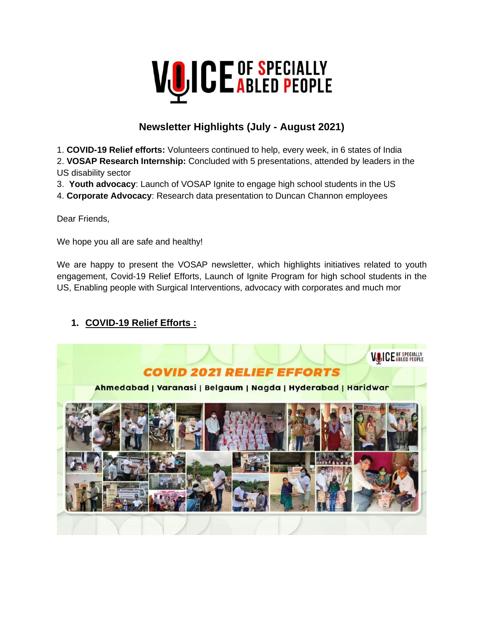

# **Newsletter Highlights (July - August 2021)**

1. **COVID-19 Relief efforts:** Volunteers continued to help, every week, in 6 states of India

2. **VOSAP Research Internship:** Concluded with 5 presentations, attended by leaders in the US disability sector

3. **Youth advocacy**: Launch of VOSAP Ignite to engage high school students in the US

4. **Corporate Advocacy**: Research data presentation to Duncan Channon employees

Dear Friends,

We hope you all are safe and healthy!

We are happy to present the VOSAP newsletter, which highlights initiatives related to youth engagement, Covid-19 Relief Efforts, Launch of Ignite Program for high school students in the US, Enabling people with Surgical Interventions, advocacy with corporates and much mor

#### **1. COVID-19 Relief Efforts :**

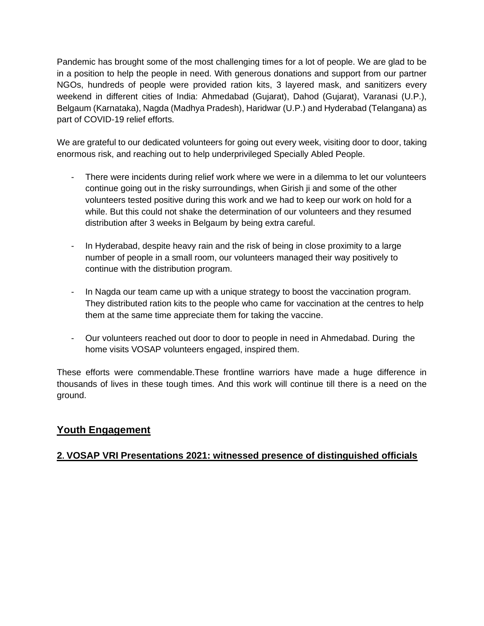Pandemic has brought some of the most challenging times for a lot of people. We are glad to be in a position to help the people in need. With generous donations and support from our partner NGOs, hundreds of people were provided ration kits, 3 layered mask, and sanitizers every weekend in different cities of India: Ahmedabad (Gujarat), Dahod (Gujarat), Varanasi (U.P.), Belgaum (Karnataka), Nagda (Madhya Pradesh), Haridwar (U.P.) and Hyderabad (Telangana) as part of COVID-19 relief efforts.

We are grateful to our dedicated volunteers for going out every week, visiting door to door, taking enormous risk, and reaching out to help underprivileged Specially Abled People.

- There were incidents during relief work where we were in a dilemma to let our volunteers continue going out in the risky surroundings, when Girish ji and some of the other volunteers tested positive during this work and we had to keep our work on hold for a while. But this could not shake the determination of our volunteers and they resumed distribution after 3 weeks in Belgaum by being extra careful.
- In Hyderabad, despite heavy rain and the risk of being in close proximity to a large number of people in a small room, our volunteers managed their way positively to continue with the distribution program.
- In Nagda our team came up with a unique strategy to boost the vaccination program. They distributed ration kits to the people who came for vaccination at the centres to help them at the same time appreciate them for taking the vaccine.
- Our volunteers reached out door to door to people in need in Ahmedabad. During the home visits VOSAP volunteers engaged, inspired them.

These efforts were commendable.These frontline warriors have made a huge difference in thousands of lives in these tough times. And this work will continue till there is a need on the ground.

#### **Youth Engagement**

#### **2. VOSAP VRI Presentations 2021: witnessed presence of distinguished officials**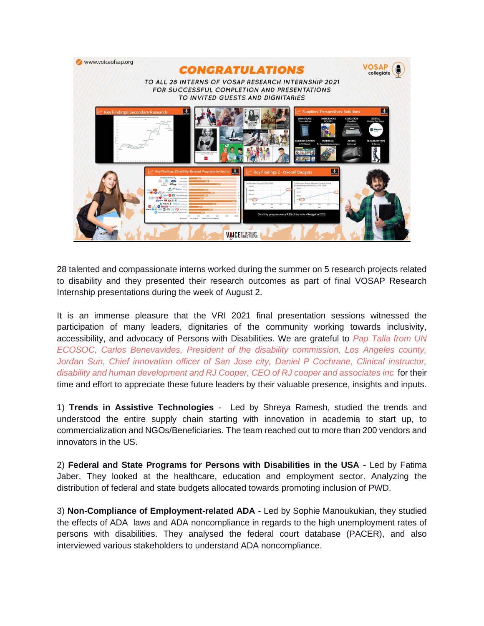

28 talented and compassionate interns worked during the summer on 5 research projects related to disability and they presented their research outcomes as part of final VOSAP Research Internship presentations during the week of August 2.

It is an immense pleasure that the VRI 2021 final presentation sessions witnessed the participation of many leaders, dignitaries of the community working towards inclusivity, accessibility, and advocacy of Persons with Disabilities. We are grateful to *Pap Talla from UN ECOSOC, Carlos Benevavides, President of the disability commission, Los Angeles county, Jordan Sun, Chief innovation officer of San Jose city, Daniel P Cochrane, Clinical instructor, disability and human development and RJ Cooper, CEO of RJ cooper and associates inc* for their time and effort to appreciate these future leaders by their valuable presence, insights and inputs.

1) **Trends in Assistive Technologies** - Led by Shreya Ramesh, studied the trends and understood the entire supply chain starting with innovation in academia to start up, to commercialization and NGOs/Beneficiaries. The team reached out to more than 200 vendors and innovators in the US.

2) **Federal and State Programs for Persons with Disabilities in the USA -** Led by Fatima Jaber, They looked at the healthcare, education and employment sector. Analyzing the distribution of federal and state budgets allocated towards promoting inclusion of PWD.

3) **Non-Compliance of Employment-related ADA -** Led by Sophie Manoukukian, they studied the effects of ADA laws and ADA noncompliance in regards to the high unemployment rates of persons with disabilities. They analysed the federal court database (PACER), and also interviewed various stakeholders to understand ADA noncompliance.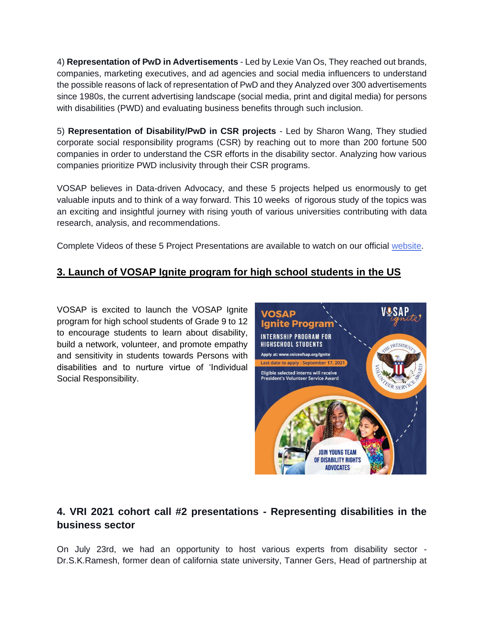4) **Representation of PwD in Advertisements** - Led by Lexie Van Os, They reached out brands, companies, marketing executives, and ad agencies and social media influencers to understand the possible reasons of lack of representation of PwD and they Analyzed over 300 advertisements since 1980s, the current advertising landscape (social media, print and digital media) for persons with disabilities (PWD) and evaluating business benefits through such inclusion.

5) **Representation of Disability/PwD in CSR projects** - Led by Sharon Wang, They studied corporate social responsibility programs (CSR) by reaching out to more than 200 fortune 500 companies in order to understand the CSR efforts in the disability sector. Analyzing how various companies prioritize PWD inclusivity through their CSR programs.

VOSAP believes in Data-driven Advocacy, and these 5 projects helped us enormously to get valuable inputs and to think of a way forward. This 10 weeks of rigorous study of the topics was an exciting and insightful journey with rising youth of various universities contributing with data research, analysis, and recommendations.

Complete Videos of these 5 Project Presentations are available to watch on our official [website.](https://www.voiceofsap.org/vri-2021-presentation/)

### **3. Launch of VOSAP Ignite program for high school students in the US**

VOSAP is excited to launch the VOSAP Ignite program for high school students of Grade 9 to 12 to encourage students to learn about disability, build a network, volunteer, and promote empathy and sensitivity in students towards Persons with disabilities and to nurture virtue of 'Individual Social Responsibility.



## **4. VRI 2021 cohort call #2 presentations - Representing disabilities in the business sector**

On July 23rd, we had an opportunity to host various experts from disability sector - Dr.S.K.Ramesh, former dean of california state university, Tanner Gers, Head of partnership at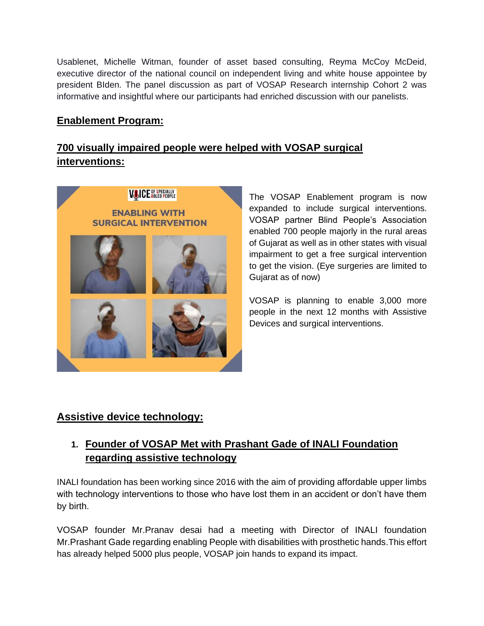Usablenet, Michelle Witman, founder of asset based consulting, Reyma McCoy McDeid, executive director of the national council on independent living and white house appointee by president BIden. The panel discussion as part of VOSAP Research internship Cohort 2 was informative and insightful where our participants had enriched discussion with our panelists.

### **Enablement Program:**

### **700 visually impaired people were helped with VOSAP surgical interventions:**



The VOSAP Enablement program is now expanded to include surgical interventions. VOSAP partner Blind People's Association enabled 700 people majorly in the rural areas of Gujarat as well as in other states with visual impairment to get a free surgical intervention to get the vision. (Eye surgeries are limited to Gujarat as of now)

VOSAP is planning to enable 3,000 more people in the next 12 months with Assistive Devices and surgical interventions.

### **Assistive device technology:**

## **1. Founder of VOSAP Met with Prashant Gade of INALI Foundation regarding assistive technology**

INALI foundation has been working since 2016 with the aim of providing affordable upper limbs with technology interventions to those who have lost them in an accident or don't have them by birth.

VOSAP founder Mr.Pranav desai had a meeting with Director of INALI foundation Mr.Prashant Gade regarding enabling People with disabilities with prosthetic hands.This effort has already helped 5000 plus people, VOSAP join hands to expand its impact.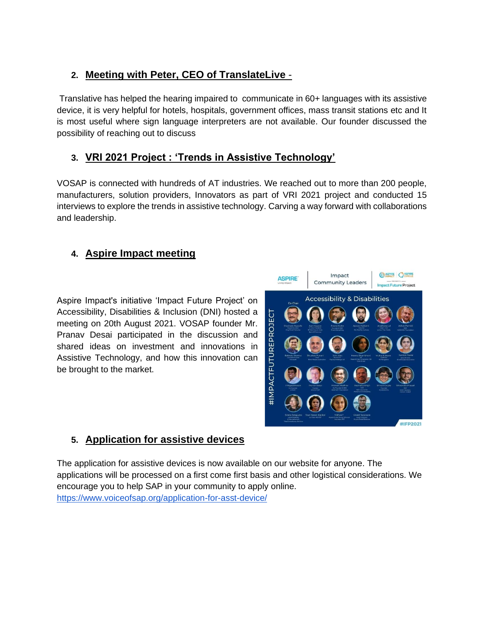## **2. Meeting with Peter, CEO of TranslateLive** -

Translative has helped the hearing impaired to communicate in 60+ languages with its assistive device, it is very helpful for hotels, hospitals, government offices, mass transit stations etc and It is most useful where sign language interpreters are not available. Our founder discussed the possibility of reaching out to discuss

### **3. VRI 2021 Project : 'Trends in Assistive Technology'**

VOSAP is connected with hundreds of AT industries. We reached out to more than 200 people, manufacturers, solution providers, Innovators as part of VRI 2021 project and conducted 15 interviews to explore the trends in assistive technology. Carving a way forward with collaborations and leadership.

### **4. Aspire Impact meeting**

Aspire Impact's initiative 'Impact Future Project' on Accessibility, Disabilities & Inclusion (DNI) hosted a meeting on 20th August 2021. VOSAP founder Mr. Pranav Desai participated in the discussion and shared ideas on investment and innovations in Assistive Technology, and how this innovation can be brought to the market.



#### **5. Application for assistive devices**

The application for assistive devices is now available on our website for anyone. The applications will be processed on a first come first basis and other logistical considerations. We encourage you to help SAP in your community to apply online. <https://www.voiceofsap.org/application-for-asst-device/>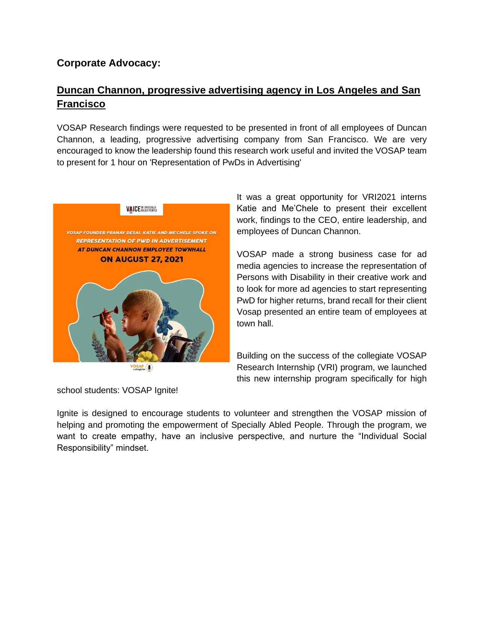#### **Corporate Advocacy:**

### **Duncan Channon, progressive advertising agency in Los Angeles and San Francisco**

VOSAP Research findings were requested to be presented in front of all employees of Duncan Channon, a leading, progressive advertising company from San Francisco. We are very encouraged to know the leadership found this research work useful and invited the VOSAP team to present for 1 hour on 'Representation of PwDs in Advertising'



VOSAP<sub>collegiate</sub>

It was a great opportunity for VRI2021 interns Katie and Me'Chele to present their excellent work, findings to the CEO, entire leadership, and employees of Duncan Channon.

VOSAP made a strong business case for ad media agencies to increase the representation of Persons with Disability in their creative work and to look for more ad agencies to start representing PwD for higher returns, brand recall for their client Vosap presented an entire team of employees at town hall.

Building on the success of the collegiate VOSAP Research Internship (VRI) program, we launched this new internship program specifically for high

school students: VOSAP Ignite!

Ignite is designed to encourage students to volunteer and strengthen the VOSAP mission of helping and promoting the empowerment of Specially Abled People. Through the program, we want to create empathy, have an inclusive perspective, and nurture the "Individual Social Responsibility" mindset.